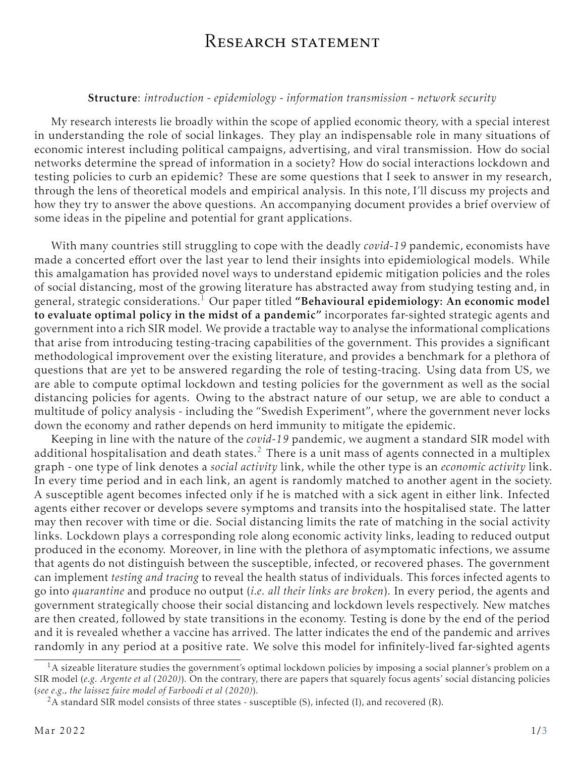## RESEARCH STATEMENT

## Structure: *introduction* - *epidemiology* - *information transmission* - *network security*

My research interests lie broadly within the scope of applied economic theory, with a special interest in understanding the role of social linkages. They play an indispensable role in many situations of economic interest including political campaigns, advertising, and viral transmission. How do social networks determine the spread of information in a society? How do social interactions lockdown and testing policies to curb an epidemic? These are some questions that I seek to answer in my research, through the lens of theoretical models and empirical analysis. In this note, I'll discuss my projects and how they try to answer the above questions. An accompanying document provides a brief overview of some ideas in the pipeline and potential for grant applications.

With many countries still struggling to cope with the deadly *covid-19* pandemic, economists have made a concerted effort over the last year to lend their insights into epidemiological models. While this amalgamation has provided novel ways to understand epidemic mitigation policies and the roles of social distancing, most of the growing literature has abstracted away from studying testing and, in general, strategic considerations.<sup>[1](#page-0-0)</sup> Our paper titled "Behavioural epidemiology: An economic model to evaluate optimal policy in the midst of a pandemic" incorporates far-sighted strategic agents and government into a rich SIR model. We provide a tractable way to analyse the informational complications that arise from introducing testing-tracing capabilities of the government. This provides a significant methodological improvement over the existing literature, and provides a benchmark for a plethora of questions that are yet to be answered regarding the role of testing-tracing. Using data from US, we are able to compute optimal lockdown and testing policies for the government as well as the social distancing policies for agents. Owing to the abstract nature of our setup, we are able to conduct a multitude of policy analysis - including the "Swedish Experiment", where the government never locks down the economy and rather depends on herd immunity to mitigate the epidemic.

Keeping in line with the nature of the *covid-19* pandemic, we augment a standard SIR model with additional hospitalisation and death states.<sup>[2](#page-0-1)</sup> There is a unit mass of agents connected in a multiplex graph - one type of link denotes a *social activity* link, while the other type is an *economic activity* link. In every time period and in each link, an agent is randomly matched to another agent in the society. A susceptible agent becomes infected only if he is matched with a sick agent in either link. Infected agents either recover or develops severe symptoms and transits into the hospitalised state. The latter may then recover with time or die. Social distancing limits the rate of matching in the social activity links. Lockdown plays a corresponding role along economic activity links, leading to reduced output produced in the economy. Moreover, in line with the plethora of asymptomatic infections, we assume that agents do not distinguish between the susceptible, infected, or recovered phases. The government can implement *testing and tracing* to reveal the health status of individuals. This forces infected agents to go into *quarantine* and produce no output (*i.e. all their links are broken*). In every period, the agents and government strategically choose their social distancing and lockdown levels respectively. New matches are then created, followed by state transitions in the economy. Testing is done by the end of the period and it is revealed whether a vaccine has arrived. The latter indicates the end of the pandemic and arrives randomly in any period at a positive rate. We solve this model for infinitely-lived far-sighted agents

<span id="page-0-0"></span> $<sup>1</sup>A$  sizeable literature studies the government's optimal lockdown policies by imposing a social planner's problem on a</sup> SIR model (*e.g. Argente et al (2020)*). On the contrary, there are papers that squarely focus agents' social distancing policies (*see e.g., the laissez faire model of Farboodi et al (2020)*).

<span id="page-0-1"></span><sup>&</sup>lt;sup>2</sup>A standard SIR model consists of three states - susceptible (S), infected (I), and recovered (R).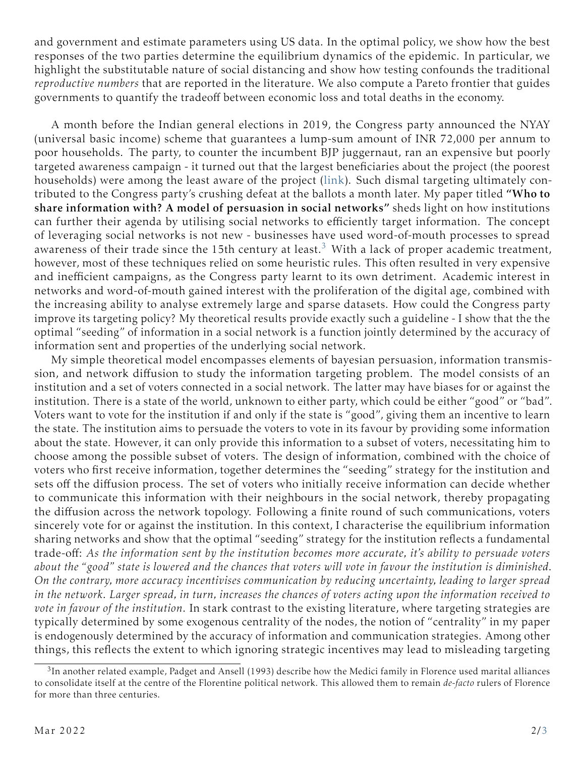and government and estimate parameters using US data. In the optimal policy, we show how the best responses of the two parties determine the equilibrium dynamics of the epidemic. In particular, we highlight the substitutable nature of social distancing and show how testing confounds the traditional *reproductive numbers* that are reported in the literature. We also compute a Pareto frontier that guides governments to quantify the tradeoff between economic loss and total deaths in the economy.

A month before the Indian general elections in 2019, the Congress party announced the NYAY (universal basic income) scheme that guarantees a lump-sum amount of INR 72,000 per annum to poor households. The party, to counter the incumbent BJP juggernaut, ran an expensive but poorly targeted awareness campaign - it turned out that the largest beneficiaries about the project (the poorest households) were among the least aware of the project [\(link\)](https://www.thehindu.com/elections/lok-sabha-2019/did-nyay-help-the-congress-make-a-leap/article27180048.ece). Such dismal targeting ultimately contributed to the Congress party's crushing defeat at the ballots a month later. My paper titled "Who to share information with? A model of persuasion in social networks" sheds light on how institutions can further their agenda by utilising social networks to efficiently target information. The concept of leveraging social networks is not new - businesses have used word-of-mouth processes to spread awareness of their trade since the 15th century at least.<sup>[3](#page-1-0)</sup> With a lack of proper academic treatment, however, most of these techniques relied on some heuristic rules. This often resulted in very expensive and inefficient campaigns, as the Congress party learnt to its own detriment. Academic interest in networks and word-of-mouth gained interest with the proliferation of the digital age, combined with the increasing ability to analyse extremely large and sparse datasets. How could the Congress party improve its targeting policy? My theoretical results provide exactly such a guideline - I show that the the optimal "seeding" of information in a social network is a function jointly determined by the accuracy of information sent and properties of the underlying social network.

My simple theoretical model encompasses elements of bayesian persuasion, information transmission, and network diffusion to study the information targeting problem. The model consists of an institution and a set of voters connected in a social network. The latter may have biases for or against the institution. There is a state of the world, unknown to either party, which could be either "good" or "bad". Voters want to vote for the institution if and only if the state is "good", giving them an incentive to learn the state. The institution aims to persuade the voters to vote in its favour by providing some information about the state. However, it can only provide this information to a subset of voters, necessitating him to choose among the possible subset of voters. The design of information, combined with the choice of voters who first receive information, together determines the "seeding" strategy for the institution and sets off the diffusion process. The set of voters who initially receive information can decide whether to communicate this information with their neighbours in the social network, thereby propagating the diffusion across the network topology. Following a finite round of such communications, voters sincerely vote for or against the institution. In this context, I characterise the equilibrium information sharing networks and show that the optimal "seeding" strategy for the institution reflects a fundamental trade-off: *As the information sent by the institution becomes more accurate, it's ability to persuade voters about the "good" state is lowered and the chances that voters will vote in favour the institution is diminished. On the contrary, more accuracy incentivises communication by reducing uncertainty, leading to larger spread in the network. Larger spread, in turn, increases the chances of voters acting upon the information received to vote in favour of the institution.* In stark contrast to the existing literature, where targeting strategies are typically determined by some exogenous centrality of the nodes, the notion of "centrality" in my paper is endogenously determined by the accuracy of information and communication strategies. Among other things, this reflects the extent to which ignoring strategic incentives may lead to misleading targeting

<span id="page-1-0"></span> $3$ In another related example, Padget and Ansell (1993) describe how the Medici family in Florence used marital alliances to consolidate itself at the centre of the Florentine political network. This allowed them to remain *de-facto* rulers of Florence for more than three centuries.